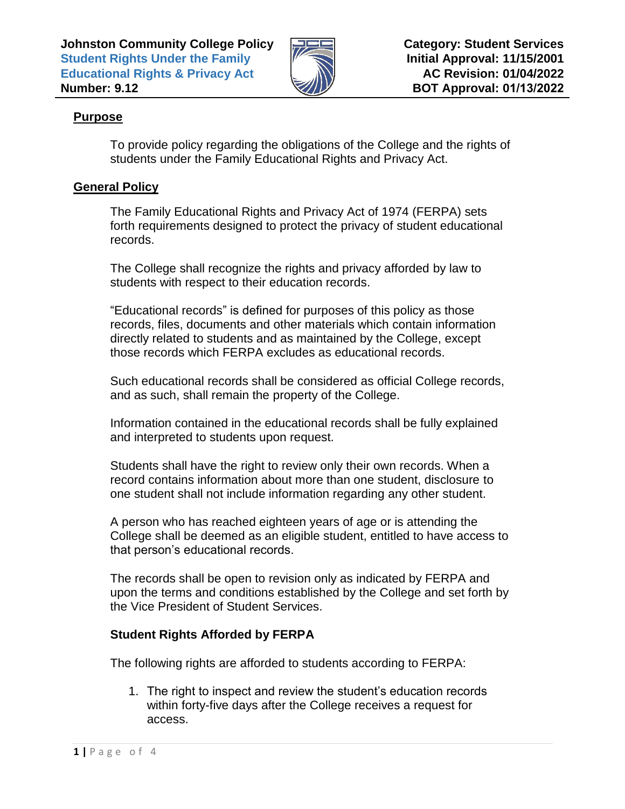

# **Purpose**

To provide policy regarding the obligations of the College and the rights of students under the Family Educational Rights and Privacy Act.

# **General Policy**

The Family Educational Rights and Privacy Act of 1974 (FERPA) sets forth requirements designed to protect the privacy of student educational records.

The College shall recognize the rights and privacy afforded by law to students with respect to their education records.

"Educational records" is defined for purposes of this policy as those records, files, documents and other materials which contain information directly related to students and as maintained by the College, except those records which FERPA excludes as educational records.

Such educational records shall be considered as official College records, and as such, shall remain the property of the College.

Information contained in the educational records shall be fully explained and interpreted to students upon request.

Students shall have the right to review only their own records. When a record contains information about more than one student, disclosure to one student shall not include information regarding any other student.

A person who has reached eighteen years of age or is attending the College shall be deemed as an eligible student, entitled to have access to that person's educational records.

The records shall be open to revision only as indicated by FERPA and upon the terms and conditions established by the College and set forth by the Vice President of Student Services.

# **Student Rights Afforded by FERPA**

The following rights are afforded to students according to FERPA:

1. The right to inspect and review the student's education records within forty-five days after the College receives a request for access.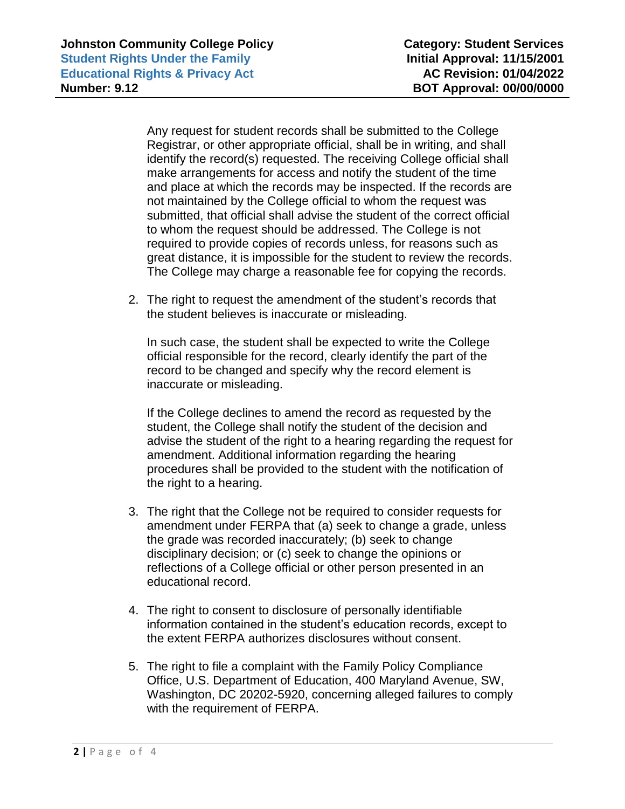Any request for student records shall be submitted to the College Registrar, or other appropriate official, shall be in writing, and shall identify the record(s) requested. The receiving College official shall make arrangements for access and notify the student of the time and place at which the records may be inspected. If the records are not maintained by the College official to whom the request was submitted, that official shall advise the student of the correct official to whom the request should be addressed. The College is not required to provide copies of records unless, for reasons such as great distance, it is impossible for the student to review the records. The College may charge a reasonable fee for copying the records.

2. The right to request the amendment of the student's records that the student believes is inaccurate or misleading.

In such case, the student shall be expected to write the College official responsible for the record, clearly identify the part of the record to be changed and specify why the record element is inaccurate or misleading.

If the College declines to amend the record as requested by the student, the College shall notify the student of the decision and advise the student of the right to a hearing regarding the request for amendment. Additional information regarding the hearing procedures shall be provided to the student with the notification of the right to a hearing.

- 3. The right that the College not be required to consider requests for amendment under FERPA that (a) seek to change a grade, unless the grade was recorded inaccurately; (b) seek to change disciplinary decision; or (c) seek to change the opinions or reflections of a College official or other person presented in an educational record.
- 4. The right to consent to disclosure of personally identifiable information contained in the student's education records, except to the extent FERPA authorizes disclosures without consent.
- 5. The right to file a complaint with the Family Policy Compliance Office, U.S. Department of Education, 400 Maryland Avenue, SW, Washington, DC 20202-5920, concerning alleged failures to comply with the requirement of FERPA.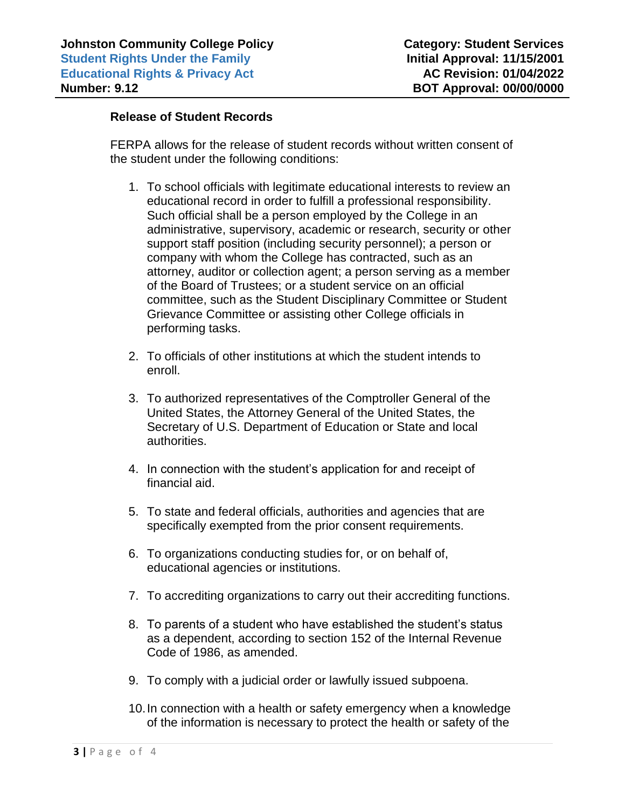### **Release of Student Records**

FERPA allows for the release of student records without written consent of the student under the following conditions:

- 1. To school officials with legitimate educational interests to review an educational record in order to fulfill a professional responsibility. Such official shall be a person employed by the College in an administrative, supervisory, academic or research, security or other support staff position (including security personnel); a person or company with whom the College has contracted, such as an attorney, auditor or collection agent; a person serving as a member of the Board of Trustees; or a student service on an official committee, such as the Student Disciplinary Committee or Student Grievance Committee or assisting other College officials in performing tasks.
- 2. To officials of other institutions at which the student intends to enroll.
- 3. To authorized representatives of the Comptroller General of the United States, the Attorney General of the United States, the Secretary of U.S. Department of Education or State and local authorities.
- 4. In connection with the student's application for and receipt of financial aid.
- 5. To state and federal officials, authorities and agencies that are specifically exempted from the prior consent requirements.
- 6. To organizations conducting studies for, or on behalf of, educational agencies or institutions.
- 7. To accrediting organizations to carry out their accrediting functions.
- 8. To parents of a student who have established the student's status as a dependent, according to section 152 of the Internal Revenue Code of 1986, as amended.
- 9. To comply with a judicial order or lawfully issued subpoena.
- 10.In connection with a health or safety emergency when a knowledge of the information is necessary to protect the health or safety of the